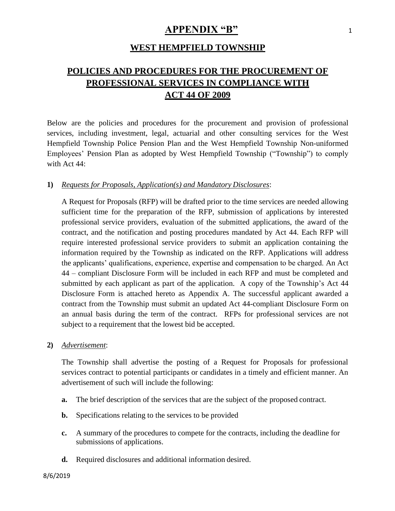## **APPENDIX "B"** <sup>1</sup>

## **WEST HEMPFIELD TOWNSHIP**

# **POLICIES AND PROCEDURES FOR THE PROCUREMENT OF PROFESSIONAL SERVICES IN COMPLIANCE WITH ACT 44 OF 2009**

Below are the policies and procedures for the procurement and provision of professional services, including investment, legal, actuarial and other consulting services for the West Hempfield Township Police Pension Plan and the West Hempfield Township Non-uniformed Employees' Pension Plan as adopted by West Hempfield Township ("Township") to comply with Act 44:

#### **1)** *Requests for Proposals, Application(s) and Mandatory Disclosures*:

A Request for Proposals (RFP) will be drafted prior to the time services are needed allowing sufficient time for the preparation of the RFP, submission of applications by interested professional service providers, evaluation of the submitted applications, the award of the contract, and the notification and posting procedures mandated by Act 44. Each RFP will require interested professional service providers to submit an application containing the information required by the Township as indicated on the RFP. Applications will address the applicants' qualifications, experience, expertise and compensation to be charged. An Act 44 – compliant Disclosure Form will be included in each RFP and must be completed and submitted by each applicant as part of the application. A copy of the Township's Act 44 Disclosure Form is attached hereto as Appendix A. The successful applicant awarded a contract from the Township must submit an updated Act 44-compliant Disclosure Form on an annual basis during the term of the contract. RFPs for professional services are not subject to a requirement that the lowest bid be accepted.

**2)** *Advertisement*:

The Township shall advertise the posting of a Request for Proposals for professional services contract to potential participants or candidates in a timely and efficient manner. An advertisement of such will include the following:

- **a.** The brief description of the services that are the subject of the proposed contract.
- **b.** Specifications relating to the services to be provided
- **c.** A summary of the procedures to compete for the contracts, including the deadline for submissions of applications.
- **d.** Required disclosures and additional information desired.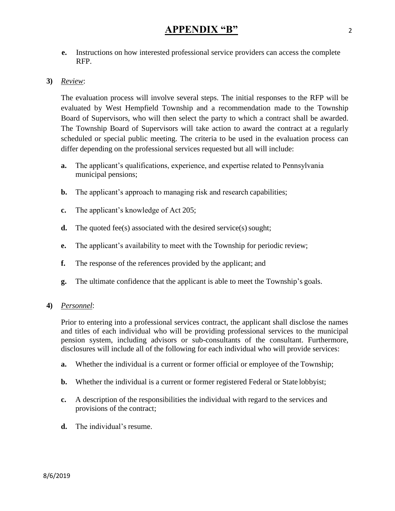**e.** Instructions on how interested professional service providers can access the complete RFP.

## **3)** *Review*:

The evaluation process will involve several steps. The initial responses to the RFP will be evaluated by West Hempfield Township and a recommendation made to the Township Board of Supervisors, who will then select the party to which a contract shall be awarded. The Township Board of Supervisors will take action to award the contract at a regularly scheduled or special public meeting. The criteria to be used in the evaluation process can differ depending on the professional services requested but all will include:

- **a.** The applicant's qualifications, experience, and expertise related to Pennsylvania municipal pensions;
- **b.** The applicant's approach to managing risk and research capabilities;
- **c.** The applicant's knowledge of Act 205;
- **d.** The quoted fee(s) associated with the desired service(s) sought;
- **e.** The applicant's availability to meet with the Township for periodic review;
- **f.** The response of the references provided by the applicant; and
- **g.** The ultimate confidence that the applicant is able to meet the Township's goals.

## **4)** *Personnel*:

Prior to entering into a professional services contract, the applicant shall disclose the names and titles of each individual who will be providing professional services to the municipal pension system, including advisors or sub-consultants of the consultant. Furthermore, disclosures will include all of the following for each individual who will provide services:

- **a.** Whether the individual is a current or former official or employee of the Township;
- **b.** Whether the individual is a current or former registered Federal or State lobbyist;
- **c.** A description of the responsibilities the individual with regard to the services and provisions of the contract;
- **d.** The individual's resume.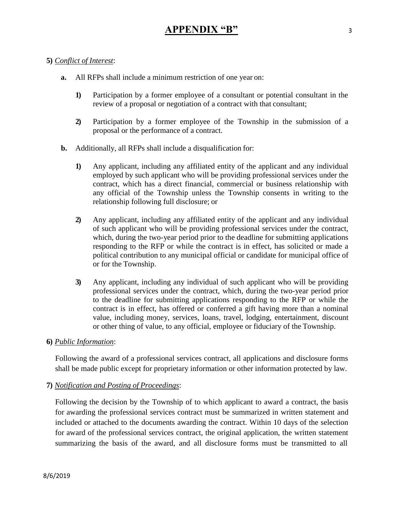## **5)** *Conflict of Interest*:

- **a.** All RFPs shall include a minimum restriction of one year on:
	- **1)** Participation by a former employee of a consultant or potential consultant in the review of a proposal or negotiation of a contract with that consultant;
	- **2)** Participation by a former employee of the Township in the submission of a proposal or the performance of a contract.
- **b.** Additionally, all RFPs shall include a disqualification for:
	- **1)** Any applicant, including any affiliated entity of the applicant and any individual employed by such applicant who will be providing professional services under the contract, which has a direct financial, commercial or business relationship with any official of the Township unless the Township consents in writing to the relationship following full disclosure; or
	- **2)** Any applicant, including any affiliated entity of the applicant and any individual of such applicant who will be providing professional services under the contract, which, during the two-year period prior to the deadline for submitting applications responding to the RFP or while the contract is in effect, has solicited or made a political contribution to any municipal official or candidate for municipal office of or for the Township.
	- **3)** Any applicant, including any individual of such applicant who will be providing professional services under the contract, which, during the two-year period prior to the deadline for submitting applications responding to the RFP or while the contract is in effect, has offered or conferred a gift having more than a nominal value, including money, services, loans, travel, lodging, entertainment, discount or other thing of value, to any official, employee or fiduciary of the Township.

#### **6)** *Public Information*:

Following the award of a professional services contract, all applications and disclosure forms shall be made public except for proprietary information or other information protected by law.

## **7)** *Notification and Posting of Proceedings*:

Following the decision by the Township of to which applicant to award a contract, the basis for awarding the professional services contract must be summarized in written statement and included or attached to the documents awarding the contract. Within 10 days of the selection for award of the professional services contract, the original application, the written statement summarizing the basis of the award, and all disclosure forms must be transmitted to all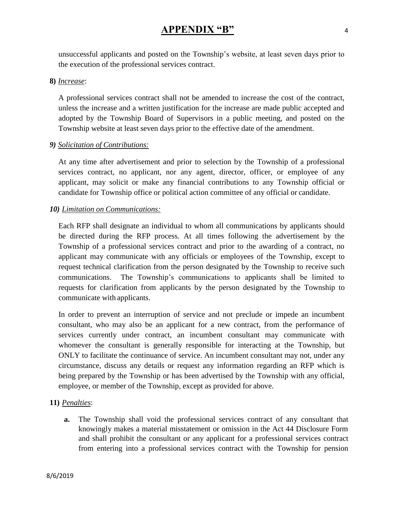## **APPENDIX "B"** <sup>4</sup>

unsuccessful applicants and posted on the Township's website, at least seven days prior to the execution of the professional services contract.

#### **8)** *Increase*:

A professional services contract shall not be amended to increase the cost of the contract, unless the increase and a written justification for the increase are made public accepted and adopted by the Township Board of Supervisors in a public meeting, and posted on the Township website at least seven days prior to the effective date of the amendment.

#### *9) Solicitation of Contributions:*

At any time after advertisement and prior to selection by the Township of a professional services contract, no applicant, nor any agent, director, officer, or employee of any applicant, may solicit or make any financial contributions to any Township official or candidate for Township office or political action committee of any official or candidate.

#### *10) Limitation on Communications:*

Each RFP shall designate an individual to whom all communications by applicants should be directed during the RFP process. At all times following the advertisement by the Township of a professional services contract and prior to the awarding of a contract, no applicant may communicate with any officials or employees of the Township, except to request technical clarification from the person designated by the Township to receive such communications. The Township's communications to applicants shall be limited to requests for clarification from applicants by the person designated by the Township to communicate with applicants.

In order to prevent an interruption of service and not preclude or impede an incumbent consultant, who may also be an applicant for a new contract, from the performance of services currently under contract, an incumbent consultant may communicate with whomever the consultant is generally responsible for interacting at the Township, but ONLY to facilitate the continuance of service. An incumbent consultant may not, under any circumstance, discuss any details or request any information regarding an RFP which is being prepared by the Township or has been advertised by the Township with any official, employee, or member of the Township, except as provided for above.

#### **11)** *Penalties*:

**a.** The Township shall void the professional services contract of any consultant that knowingly makes a material misstatement or omission in the Act 44 Disclosure Form and shall prohibit the consultant or any applicant for a professional services contract from entering into a professional services contract with the Township for pension